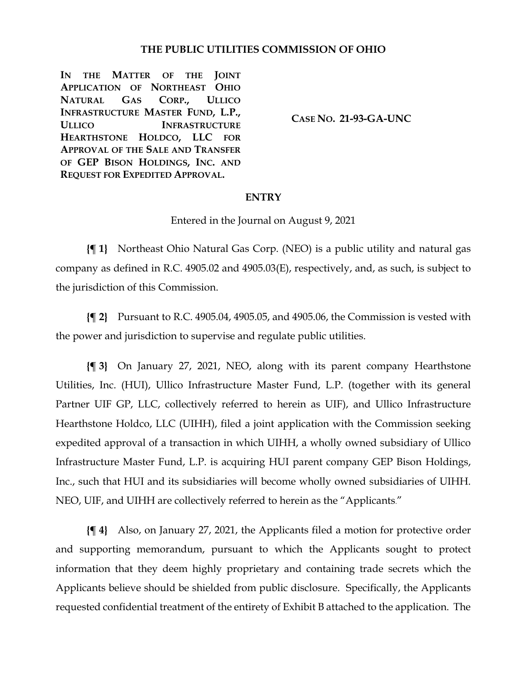### **THE PUBLIC UTILITIES COMMISSION OF OHIO**

**IN THE MATTER OF THE JOINT APPLICATION OF NORTHEAST OHIO NATURAL GAS CORP., ULLICO INFRASTRUCTURE MASTER FUND, L.P., ULLICO INFRASTRUCTURE HEARTHSTONE HOLDCO, LLC FOR APPROVAL OF THE SALE AND TRANSFER OF GEP BISON HOLDINGS, INC. AND REQUEST FOR EXPEDITED APPROVAL.**

**CASE NO. 21-93-GA-UNC**

#### **ENTRY**

Entered in the Journal on August 9, 2021

**{¶ 1}** Northeast Ohio Natural Gas Corp. (NEO) is a public utility and natural gas company as defined in R.C. 4905.02 and 4905.03(E), respectively, and, as such, is subject to the jurisdiction of this Commission.

**{¶ 2}** Pursuant to R.C. 4905.04, 4905.05, and 4905.06, the Commission is vested with the power and jurisdiction to supervise and regulate public utilities.

**{¶ 3}** On January 27, 2021, NEO, along with its parent company Hearthstone Utilities, Inc. (HUI), Ullico Infrastructure Master Fund, L.P. (together with its general Partner UIF GP, LLC, collectively referred to herein as UIF), and Ullico Infrastructure Hearthstone Holdco, LLC (UIHH), filed a joint application with the Commission seeking expedited approval of a transaction in which UIHH, a wholly owned subsidiary of Ullico Infrastructure Master Fund, L.P. is acquiring HUI parent company GEP Bison Holdings, Inc., such that HUI and its subsidiaries will become wholly owned subsidiaries of UIHH. NEO, UIF, and UIHH are collectively referred to herein as the "Applicants."

**{¶ 4}** Also, on January 27, 2021, the Applicants filed a motion for protective order and supporting memorandum, pursuant to which the Applicants sought to protect information that they deem highly proprietary and containing trade secrets which the Applicants believe should be shielded from public disclosure. Specifically, the Applicants requested confidential treatment of the entirety of Exhibit B attached to the application. The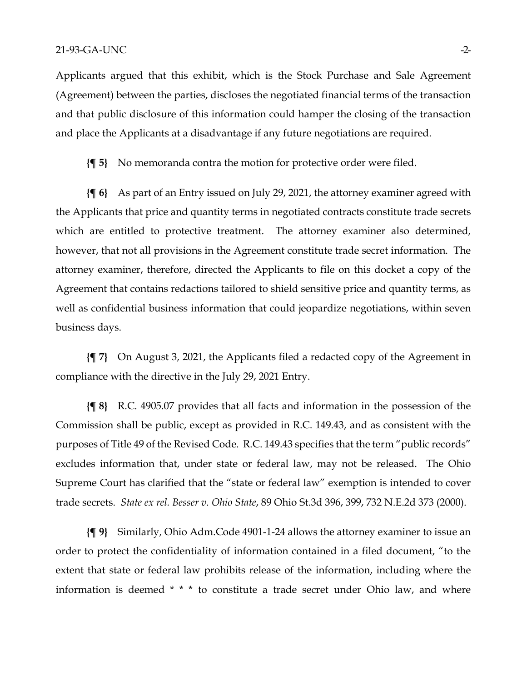Applicants argued that this exhibit, which is the Stock Purchase and Sale Agreement (Agreement) between the parties, discloses the negotiated financial terms of the transaction and that public disclosure of this information could hamper the closing of the transaction and place the Applicants at a disadvantage if any future negotiations are required.

**{¶ 5}** No memoranda contra the motion for protective order were filed.

**{¶ 6}** As part of an Entry issued on July 29, 2021, the attorney examiner agreed with the Applicants that price and quantity terms in negotiated contracts constitute trade secrets which are entitled to protective treatment. The attorney examiner also determined, however, that not all provisions in the Agreement constitute trade secret information. The attorney examiner, therefore, directed the Applicants to file on this docket a copy of the Agreement that contains redactions tailored to shield sensitive price and quantity terms, as well as confidential business information that could jeopardize negotiations, within seven business days.

**{¶ 7}** On August 3, 2021, the Applicants filed a redacted copy of the Agreement in compliance with the directive in the July 29, 2021 Entry.

**{¶ 8}** R.C. 4905.07 provides that all facts and information in the possession of the Commission shall be public, except as provided in R.C. 149.43, and as consistent with the purposes of Title 49 of the Revised Code. R.C. 149.43 specifies that the term "public records" excludes information that, under state or federal law, may not be released. The Ohio Supreme Court has clarified that the "state or federal law" exemption is intended to cover trade secrets. *State ex rel. Besser v. Ohio State*, 89 Ohio St.3d 396, 399, 732 N.E.2d 373 (2000).

**{¶ 9}** Similarly, Ohio Adm.Code 4901-1-24 allows the attorney examiner to issue an order to protect the confidentiality of information contained in a filed document, "to the extent that state or federal law prohibits release of the information, including where the information is deemed \* \* \* to constitute a trade secret under Ohio law, and where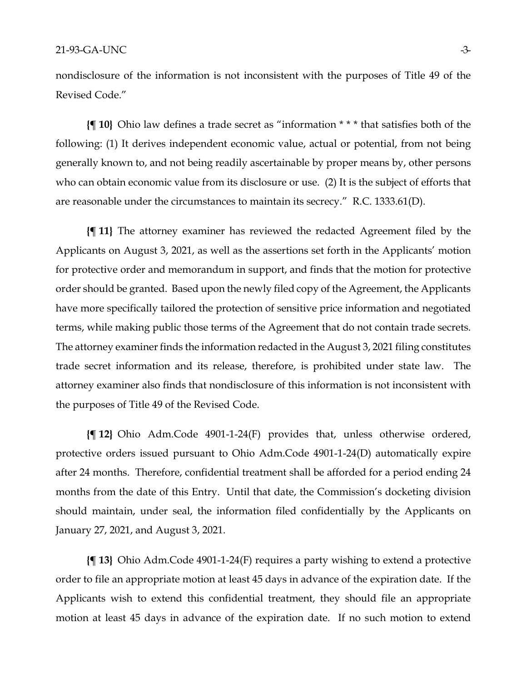nondisclosure of the information is not inconsistent with the purposes of Title 49 of the Revised Code."

**{¶ 10}** Ohio law defines a trade secret as "information \* \* \* that satisfies both of the following: (1) It derives independent economic value, actual or potential, from not being generally known to, and not being readily ascertainable by proper means by, other persons who can obtain economic value from its disclosure or use. (2) It is the subject of efforts that are reasonable under the circumstances to maintain its secrecy." R.C. 1333.61(D).

**{¶ 11}** The attorney examiner has reviewed the redacted Agreement filed by the Applicants on August 3, 2021, as well as the assertions set forth in the Applicants' motion for protective order and memorandum in support, and finds that the motion for protective order should be granted. Based upon the newly filed copy of the Agreement, the Applicants have more specifically tailored the protection of sensitive price information and negotiated terms, while making public those terms of the Agreement that do not contain trade secrets. The attorney examiner finds the information redacted in the August 3, 2021 filing constitutes trade secret information and its release, therefore, is prohibited under state law. The attorney examiner also finds that nondisclosure of this information is not inconsistent with the purposes of Title 49 of the Revised Code.

**{¶ 12}** Ohio Adm.Code 4901-1-24(F) provides that, unless otherwise ordered, protective orders issued pursuant to Ohio Adm.Code 4901-1-24(D) automatically expire after 24 months. Therefore, confidential treatment shall be afforded for a period ending 24 months from the date of this Entry. Until that date, the Commission's docketing division should maintain, under seal, the information filed confidentially by the Applicants on January 27, 2021, and August 3, 2021.

**{¶ 13}** Ohio Adm.Code 4901-1-24(F) requires a party wishing to extend a protective order to file an appropriate motion at least 45 days in advance of the expiration date. If the Applicants wish to extend this confidential treatment, they should file an appropriate motion at least 45 days in advance of the expiration date. If no such motion to extend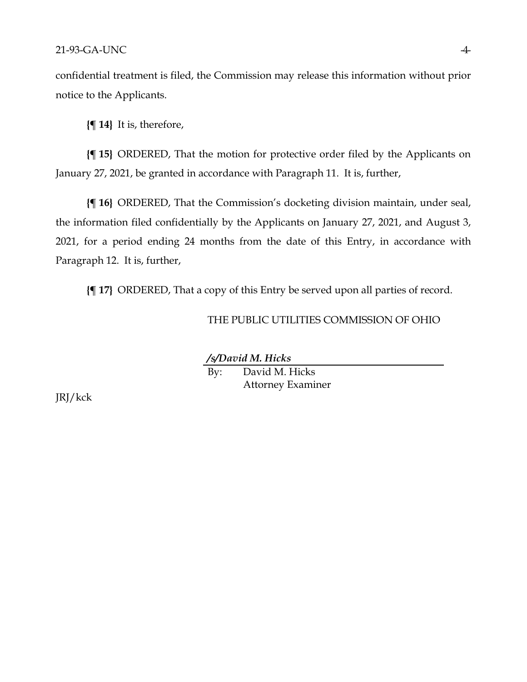#### 21-93-GA-UNC 4-

confidential treatment is filed, the Commission may release this information without prior notice to the Applicants.

**{¶ 14}** It is, therefore,

**{¶ 15}** ORDERED, That the motion for protective order filed by the Applicants on January 27, 2021, be granted in accordance with Paragraph 11. It is, further,

**{¶ 16}** ORDERED, That the Commission's docketing division maintain, under seal, the information filed confidentially by the Applicants on January 27, 2021, and August 3, 2021, for a period ending 24 months from the date of this Entry, in accordance with Paragraph 12. It is, further,

**{¶ 17}** ORDERED, That a copy of this Entry be served upon all parties of record.

#### THE PUBLIC UTILITIES COMMISSION OF OHIO

*/s/David M. Hicks*

By: David M. Hicks Attorney Examiner

JRJ/kck